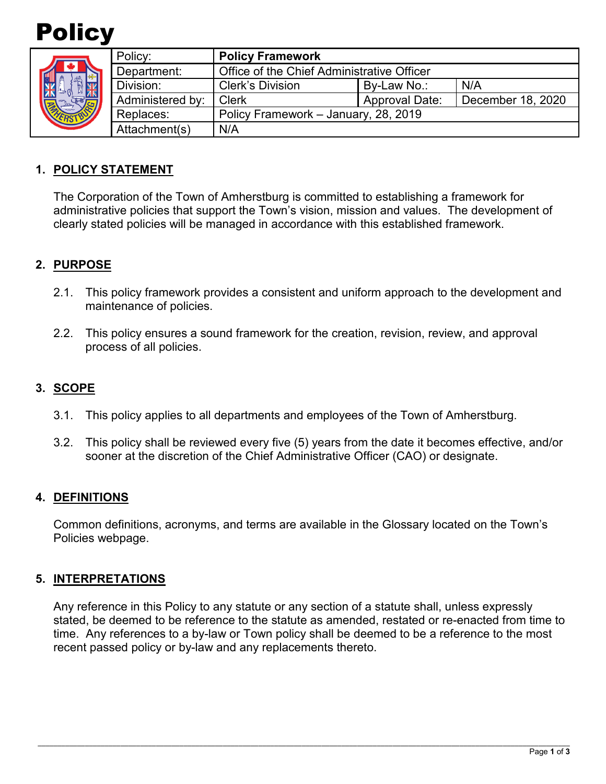

| <b>SAK</b> | Policy:          | <b>Policy Framework</b>                    |                       |                   |
|------------|------------------|--------------------------------------------|-----------------------|-------------------|
|            | Department:      | Office of the Chief Administrative Officer |                       |                   |
|            | Division:        | <b>Clerk's Division</b>                    | By-Law No.:           | N/A               |
|            | Administered by: | Clerk                                      | <b>Approval Date:</b> | December 18, 2020 |
|            | Replaces:        | Policy Framework - January, 28, 2019       |                       |                   |
|            | Attachment(s)    | N/A                                        |                       |                   |

### **1. POLICY STATEMENT**

The Corporation of the Town of Amherstburg is committed to establishing a framework for administrative policies that support the Town's vision, mission and values. The development of clearly stated policies will be managed in accordance with this established framework.

## **2. PURPOSE**

- 2.1. This policy framework provides a consistent and uniform approach to the development and maintenance of policies.
- 2.2. This policy ensures a sound framework for the creation, revision, review, and approval process of all policies.

### **3. SCOPE**

- 3.1. This policy applies to all departments and employees of the Town of Amherstburg.
- 3.2. This policy shall be reviewed every five (5) years from the date it becomes effective, and/or sooner at the discretion of the Chief Administrative Officer (CAO) or designate.

#### **4. DEFINITIONS**

Common definitions, acronyms, and terms are available in the Glossary located on the Town's Policies webpage.

#### **5. INTERPRETATIONS**

Any reference in this Policy to any statute or any section of a statute shall, unless expressly stated, be deemed to be reference to the statute as amended, restated or re-enacted from time to time. Any references to a by-law or Town policy shall be deemed to be a reference to the most recent passed policy or by-law and any replacements thereto.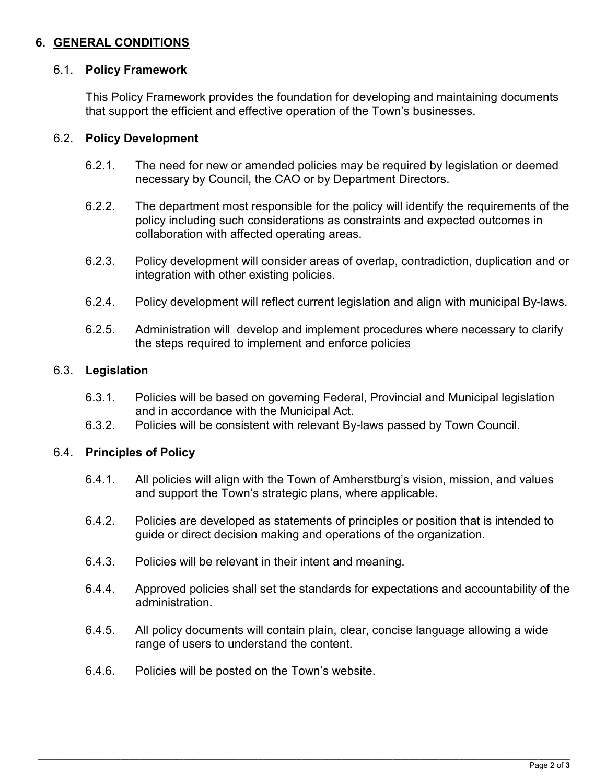## **6. GENERAL CONDITIONS**

#### 6.1. **Policy Framework**

This Policy Framework provides the foundation for developing and maintaining documents that support the efficient and effective operation of the Town's businesses.

#### 6.2. **Policy Development**

- 6.2.1. The need for new or amended policies may be required by legislation or deemed necessary by Council, the CAO or by Department Directors.
- 6.2.2. The department most responsible for the policy will identify the requirements of the policy including such considerations as constraints and expected outcomes in collaboration with affected operating areas.
- 6.2.3. Policy development will consider areas of overlap, contradiction, duplication and or integration with other existing policies.
- 6.2.4. Policy development will reflect current legislation and align with municipal By-laws.
- 6.2.5. Administration will develop and implement procedures where necessary to clarify the steps required to implement and enforce policies

#### 6.3. **Legislation**

- 6.3.1. Policies will be based on governing Federal, Provincial and Municipal legislation and in accordance with the Municipal Act.
- 6.3.2. Policies will be consistent with relevant By-laws passed by Town Council.

#### 6.4. **Principles of Policy**

- 6.4.1. All policies will align with the Town of Amherstburg's vision, mission, and values and support the Town's strategic plans, where applicable.
- 6.4.2. Policies are developed as statements of principles or position that is intended to guide or direct decision making and operations of the organization.
- 6.4.3. Policies will be relevant in their intent and meaning.
- 6.4.4. Approved policies shall set the standards for expectations and accountability of the administration.
- 6.4.5. All policy documents will contain plain, clear, concise language allowing a wide range of users to understand the content.
- 6.4.6. Policies will be posted on the Town's website.